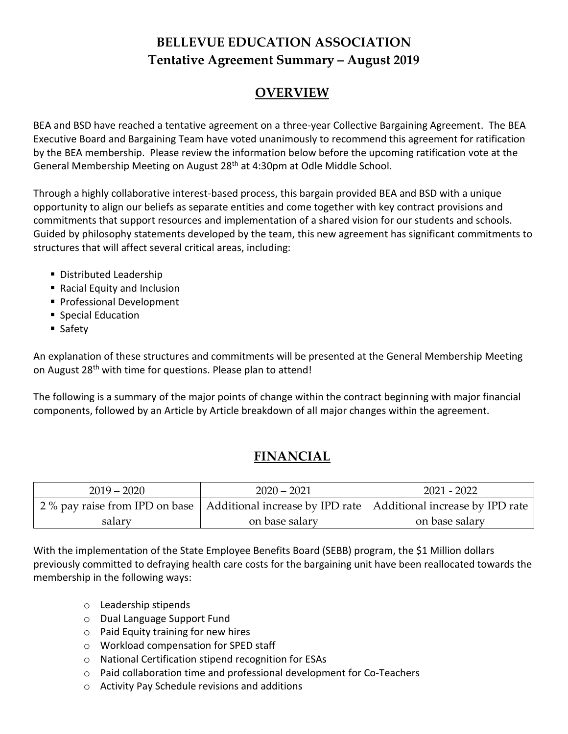# **BELLEVUE EDUCATION ASSOCIATION Tentative Agreement Summary – August 2019**

# **OVERVIEW**

BEA and BSD have reached a tentative agreement on a three-year Collective Bargaining Agreement. The BEA Executive Board and Bargaining Team have voted unanimously to recommend this agreement for ratification by the BEA membership. Please review the information below before the upcoming ratification vote at the General Membership Meeting on August 28<sup>th</sup> at 4:30pm at Odle Middle School.

Through a highly collaborative interest-based process, this bargain provided BEA and BSD with a unique opportunity to align our beliefs as separate entities and come together with key contract provisions and commitments that support resources and implementation of a shared vision for our students and schools. Guided by philosophy statements developed by the team, this new agreement has significant commitments to structures that will affect several critical areas, including:

- **Distributed Leadership**
- Racial Equity and Inclusion
- **Professional Development**
- Special Education
- Safety

An explanation of these structures and commitments will be presented at the General Membership Meeting on August 28<sup>th</sup> with time for questions. Please plan to attend!

The following is a summary of the major points of change within the contract beginning with major financial components, followed by an Article by Article breakdown of all major changes within the agreement.

# **FINANCIAL**

| $2019 - 2020$ | $2020 - 2021$                                                                                      | $2021 - 2022$  |
|---------------|----------------------------------------------------------------------------------------------------|----------------|
|               | 2 % pay raise from IPD on base   Additional increase by IPD rate   Additional increase by IPD rate |                |
| salary        | on base salary                                                                                     | on base salary |

With the implementation of the State Employee Benefits Board (SEBB) program, the \$1 Million dollars previously committed to defraying health care costs for the bargaining unit have been reallocated towards the membership in the following ways:

- o Leadership stipends
- o Dual Language Support Fund
- o Paid Equity training for new hires
- o Workload compensation for SPED staff
- o National Certification stipend recognition for ESAs
- o Paid collaboration time and professional development for Co-Teachers
- o Activity Pay Schedule revisions and additions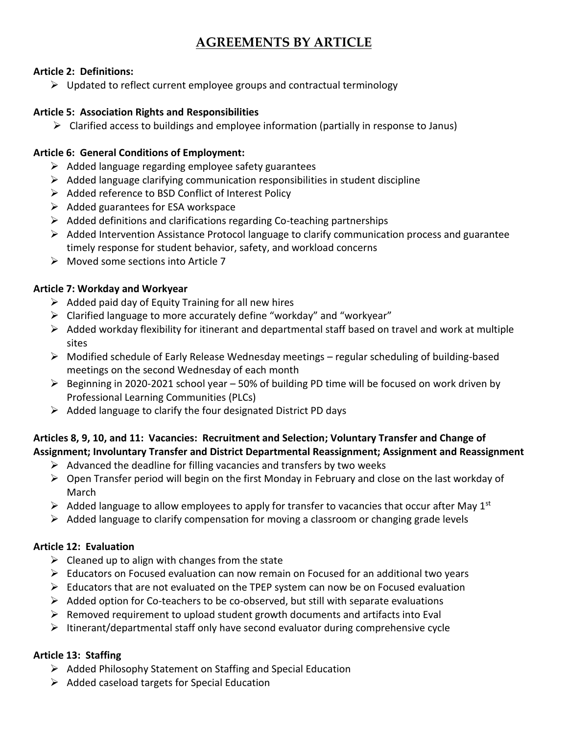## **AGREEMENTS BY ARTICLE**

### **Article 2: Definitions:**

 $\triangleright$  Updated to reflect current employee groups and contractual terminology

### **Article 5: Association Rights and Responsibilities**

 $\triangleright$  Clarified access to buildings and employee information (partially in response to Janus)

#### **Article 6: General Conditions of Employment:**

- $\triangleright$  Added language regarding employee safety guarantees
- $\triangleright$  Added language clarifying communication responsibilities in student discipline
- ➢ Added reference to BSD Conflict of Interest Policy
- $\triangleright$  Added guarantees for ESA workspace
- $\triangleright$  Added definitions and clarifications regarding Co-teaching partnerships
- ➢ Added Intervention Assistance Protocol language to clarify communication process and guarantee timely response for student behavior, safety, and workload concerns
- ➢ Moved some sections into Article 7

### **Article 7: Workday and Workyear**

- $\triangleright$  Added paid day of Equity Training for all new hires
- ➢ Clarified language to more accurately define "workday" and "workyear"
- $\triangleright$  Added workday flexibility for itinerant and departmental staff based on travel and work at multiple sites
- $\triangleright$  Modified schedule of Early Release Wednesday meetings regular scheduling of building-based meetings on the second Wednesday of each month
- $\triangleright$  Beginning in 2020-2021 school year 50% of building PD time will be focused on work driven by Professional Learning Communities (PLCs)
- $\triangleright$  Added language to clarify the four designated District PD days

## **Articles 8, 9, 10, and 11: Vacancies: Recruitment and Selection; Voluntary Transfer and Change of Assignment; Involuntary Transfer and District Departmental Reassignment; Assignment and Reassignment**

- $\triangleright$  Advanced the deadline for filling vacancies and transfers by two weeks
- ➢ Open Transfer period will begin on the first Monday in February and close on the last workday of March
- $\triangleright$  Added language to allow employees to apply for transfer to vacancies that occur after May 1st
- $\triangleright$  Added language to clarify compensation for moving a classroom or changing grade levels

## **Article 12: Evaluation**

- $\triangleright$  Cleaned up to align with changes from the state
- $\triangleright$  Educators on Focused evaluation can now remain on Focused for an additional two years
- $\triangleright$  Educators that are not evaluated on the TPEP system can now be on Focused evaluation
- $\triangleright$  Added option for Co-teachers to be co-observed, but still with separate evaluations
- $\triangleright$  Removed requirement to upload student growth documents and artifacts into Eval
- $\triangleright$  Itinerant/departmental staff only have second evaluator during comprehensive cycle

### **Article 13: Staffing**

- ➢ Added Philosophy Statement on Staffing and Special Education
- ➢ Added caseload targets for Special Education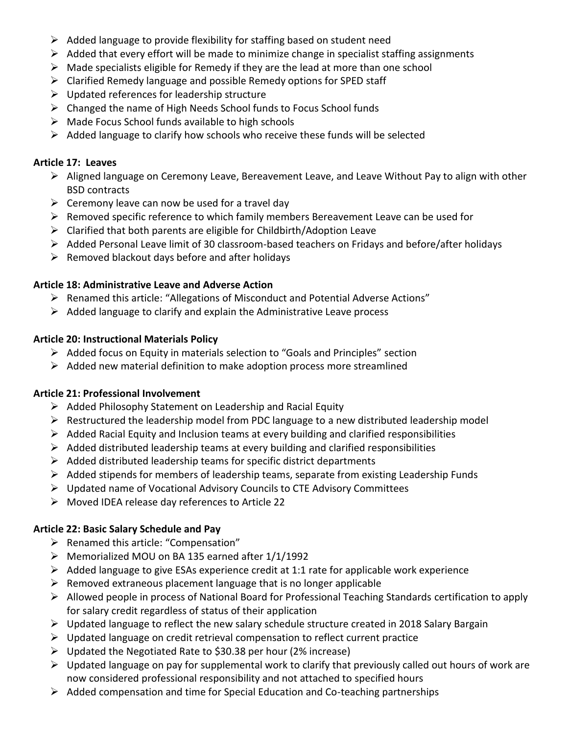- $\triangleright$  Added language to provide flexibility for staffing based on student need
- $\triangleright$  Added that every effort will be made to minimize change in specialist staffing assignments
- $\triangleright$  Made specialists eligible for Remedy if they are the lead at more than one school
- ➢ Clarified Remedy language and possible Remedy options for SPED staff
- $\triangleright$  Updated references for leadership structure
- ➢ Changed the name of High Needs School funds to Focus School funds
- ➢ Made Focus School funds available to high schools
- $\triangleright$  Added language to clarify how schools who receive these funds will be selected

## **Article 17: Leaves**

- $\triangleright$  Aligned language on Ceremony Leave, Bereavement Leave, and Leave Without Pay to align with other BSD contracts
- $\triangleright$  Ceremony leave can now be used for a travel day
- $\triangleright$  Removed specific reference to which family members Bereavement Leave can be used for
- $\triangleright$  Clarified that both parents are eligible for Childbirth/Adoption Leave
- ➢ Added Personal Leave limit of 30 classroom-based teachers on Fridays and before/after holidays
- $\triangleright$  Removed blackout days before and after holidays

## **Article 18: Administrative Leave and Adverse Action**

- ➢ Renamed this article: "Allegations of Misconduct and Potential Adverse Actions"
- $\triangleright$  Added language to clarify and explain the Administrative Leave process

## **Article 20: Instructional Materials Policy**

- $\triangleright$  Added focus on Equity in materials selection to "Goals and Principles" section
- $\triangleright$  Added new material definition to make adoption process more streamlined

## **Article 21: Professional Involvement**

- ➢ Added Philosophy Statement on Leadership and Racial Equity
- ➢ Restructured the leadership model from PDC language to a new distributed leadership model
- $\triangleright$  Added Racial Equity and Inclusion teams at every building and clarified responsibilities
- $\triangleright$  Added distributed leadership teams at every building and clarified responsibilities
- $\triangleright$  Added distributed leadership teams for specific district departments
- $\triangleright$  Added stipends for members of leadership teams, separate from existing Leadership Funds
- ➢ Updated name of Vocational Advisory Councils to CTE Advisory Committees
- ➢ Moved IDEA release day references to Article 22

## **Article 22: Basic Salary Schedule and Pay**

- ➢ Renamed this article: "Compensation"
- ➢ Memorialized MOU on BA 135 earned after 1/1/1992
- $\triangleright$  Added language to give ESAs experience credit at 1:1 rate for applicable work experience
- $\triangleright$  Removed extraneous placement language that is no longer applicable
- ➢ Allowed people in process of National Board for Professional Teaching Standards certification to apply for salary credit regardless of status of their application
- $\triangleright$  Updated language to reflect the new salary schedule structure created in 2018 Salary Bargain
- ➢ Updated language on credit retrieval compensation to reflect current practice
- ➢ Updated the Negotiated Rate to \$30.38 per hour (2% increase)
- $\triangleright$  Updated language on pay for supplemental work to clarify that previously called out hours of work are now considered professional responsibility and not attached to specified hours
- ➢ Added compensation and time for Special Education and Co-teaching partnerships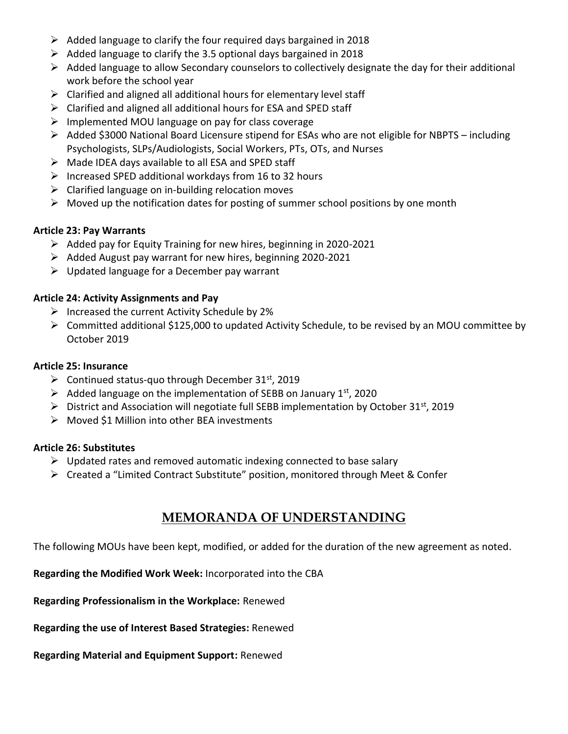- $\triangleright$  Added language to clarify the four required days bargained in 2018
- $\triangleright$  Added language to clarify the 3.5 optional days bargained in 2018
- $\triangleright$  Added language to allow Secondary counselors to collectively designate the day for their additional work before the school year
- $\triangleright$  Clarified and aligned all additional hours for elementary level staff
- ➢ Clarified and aligned all additional hours for ESA and SPED staff
- ➢ Implemented MOU language on pay for class coverage
- ➢ Added \$3000 National Board Licensure stipend for ESAs who are not eligible for NBPTS including Psychologists, SLPs/Audiologists, Social Workers, PTs, OTs, and Nurses
- ➢ Made IDEA days available to all ESA and SPED staff
- $\triangleright$  Increased SPED additional workdays from 16 to 32 hours
- $\triangleright$  Clarified language on in-building relocation moves
- $\triangleright$  Moved up the notification dates for posting of summer school positions by one month

### **Article 23: Pay Warrants**

- ➢ Added pay for Equity Training for new hires, beginning in 2020-2021
- ➢ Added August pay warrant for new hires, beginning 2020-2021
- $\triangleright$  Updated language for a December pay warrant

### **Article 24: Activity Assignments and Pay**

- $\triangleright$  Increased the current Activity Schedule by 2%
- ➢ Committed additional \$125,000 to updated Activity Schedule, to be revised by an MOU committee by October 2019

## **Article 25: Insurance**

- $\triangleright$  Continued status-quo through December 31<sup>st</sup>, 2019
- $\triangleright$  Added language on the implementation of SEBB on January 1st, 2020
- $\triangleright$  District and Association will negotiate full SEBB implementation by October 31<sup>st</sup>, 2019
- ➢ Moved \$1 Million into other BEA investments

### **Article 26: Substitutes**

- $\triangleright$  Updated rates and removed automatic indexing connected to base salary
- ➢ Created a "Limited Contract Substitute" position, monitored through Meet & Confer

# **MEMORANDA OF UNDERSTANDING**

The following MOUs have been kept, modified, or added for the duration of the new agreement as noted.

**Regarding the Modified Work Week:** Incorporated into the CBA

**Regarding Professionalism in the Workplace:** Renewed

**Regarding the use of Interest Based Strategies:** Renewed

**Regarding Material and Equipment Support:** Renewed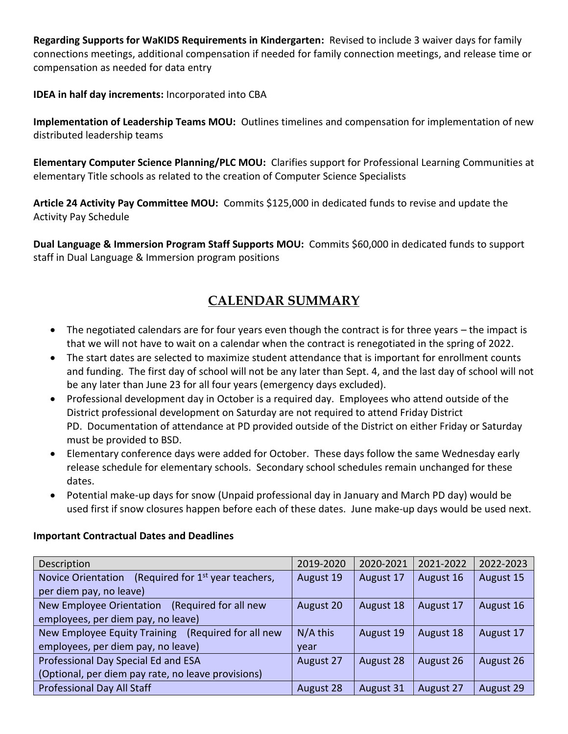**Regarding Supports for WaKIDS Requirements in Kindergarten:** Revised to include 3 waiver days for family connections meetings, additional compensation if needed for family connection meetings, and release time or compensation as needed for data entry

**IDEA in half day increments:** Incorporated into CBA

**Implementation of Leadership Teams MOU:** Outlines timelines and compensation for implementation of new distributed leadership teams

**Elementary Computer Science Planning/PLC MOU:** Clarifies support for Professional Learning Communities at elementary Title schools as related to the creation of Computer Science Specialists

**Article 24 Activity Pay Committee MOU:** Commits \$125,000 in dedicated funds to revise and update the Activity Pay Schedule

**Dual Language & Immersion Program Staff Supports MOU:** Commits \$60,000 in dedicated funds to support staff in Dual Language & Immersion program positions

# **CALENDAR SUMMARY**

- The negotiated calendars are for four years even though the contract is for three years the impact is that we will not have to wait on a calendar when the contract is renegotiated in the spring of 2022.
- The start dates are selected to maximize student attendance that is important for enrollment counts and funding. The first day of school will not be any later than Sept. 4, and the last day of school will not be any later than June 23 for all four years (emergency days excluded).
- Professional development day in October is a required day. Employees who attend outside of the District professional development on Saturday are not required to attend Friday District PD. Documentation of attendance at PD provided outside of the District on either Friday or Saturday must be provided to BSD.
- Elementary conference days were added for October. These days follow the same Wednesday early release schedule for elementary schools. Secondary school schedules remain unchanged for these dates.
- Potential make-up days for snow (Unpaid professional day in January and March PD day) would be used first if snow closures happen before each of these dates. June make-up days would be used next.

| Description                                                     | 2019-2020  | 2020-2021 | 2021-2022 | 2022-2023 |
|-----------------------------------------------------------------|------------|-----------|-----------|-----------|
| (Required for $1st$ year teachers,<br><b>Novice Orientation</b> | August 19  | August 17 | August 16 | August 15 |
| per diem pay, no leave)                                         |            |           |           |           |
| (Required for all new<br>New Employee Orientation               | August 20  | August 18 | August 17 | August 16 |
| employees, per diem pay, no leave)                              |            |           |           |           |
| New Employee Equity Training (Required for all new              | $N/A$ this | August 19 | August 18 | August 17 |
| employees, per diem pay, no leave)                              | year       |           |           |           |
| Professional Day Special Ed and ESA                             | August 27  | August 28 | August 26 | August 26 |
| (Optional, per diem pay rate, no leave provisions)              |            |           |           |           |
| <b>Professional Day All Staff</b>                               | August 28  | August 31 | August 27 | August 29 |

### **Important Contractual Dates and Deadlines**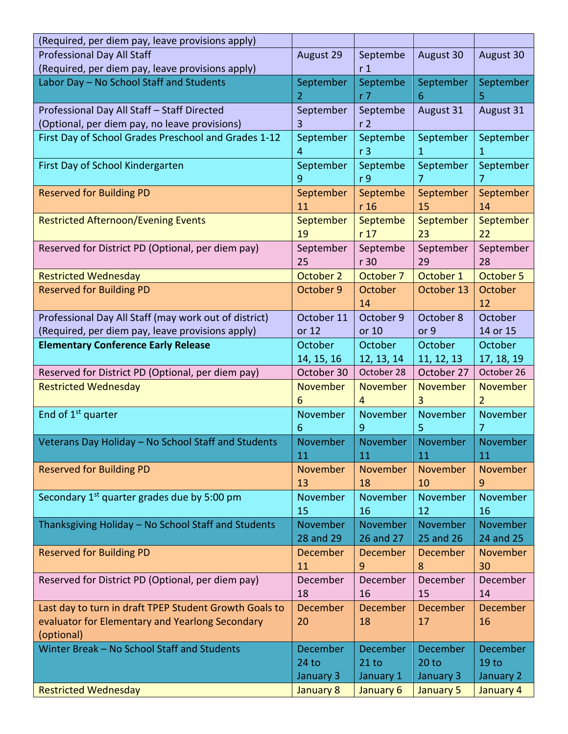| (Required, per diem pay, leave provisions apply)        |                  |                   |                  |                  |
|---------------------------------------------------------|------------------|-------------------|------------------|------------------|
| <b>Professional Day All Staff</b>                       | August 29        | Septembe          | August 30        | August 30        |
| (Required, per diem pay, leave provisions apply)        |                  | r <sub>1</sub>    |                  |                  |
| Labor Day - No School Staff and Students                | September        | Septembe          | September        | September        |
|                                                         | $\overline{2}$   | r <sub>7</sub>    | 6                | 5                |
| Professional Day All Staff - Staff Directed             | September        | Septembe          | August 31        | August 31        |
| (Optional, per diem pay, no leave provisions)           | 3                | r <sub>2</sub>    |                  |                  |
| First Day of School Grades Preschool and Grades 1-12    | September        | Septembe          | September        | September        |
|                                                         | 4                | r <sub>3</sub>    | 1                | 1                |
| First Day of School Kindergarten                        | September        | Septembe          | September        | September        |
|                                                         | 9                | r <sub>9</sub>    | 7                | 7                |
| <b>Reserved for Building PD</b>                         | September        | Septembe          | September        | September        |
|                                                         | 11               | r 16              | 15               | 14               |
| <b>Restricted Afternoon/Evening Events</b>              | September        | Septembe          | September        | September        |
|                                                         | 19               | r <sub>17</sub>   | 23               | 22               |
| Reserved for District PD (Optional, per diem pay)       | September        | Septembe          | September        | September        |
| <b>Restricted Wednesday</b>                             | 25<br>October 2  | r 30<br>October 7 | 29<br>October 1  | 28<br>October 5  |
| <b>Reserved for Building PD</b>                         | October 9        | October           | October 13       | October          |
|                                                         |                  | 14                |                  | 12               |
| Professional Day All Staff (may work out of district)   | October 11       | October 9         | October 8        | October          |
| (Required, per diem pay, leave provisions apply)        | or 12            | or 10             | or 9             | 14 or 15         |
| <b>Elementary Conference Early Release</b>              | October          | October           | October          | October          |
|                                                         | 14, 15, 16       | 12, 13, 14        | 11, 12, 13       | 17, 18, 19       |
| Reserved for District PD (Optional, per diem pay)       | October 30       | October 28        | October 27       | October 26       |
| <b>Restricted Wednesday</b>                             | November         | November          | <b>November</b>  | <b>November</b>  |
|                                                         | 6                | 4                 | 3                | $\overline{2}$   |
| End of 1 <sup>st</sup> quarter                          | November         | November          | November         | November         |
|                                                         | 6                | 9                 | 5                | 7                |
| Veterans Day Holiday - No School Staff and Students     | November         | November          | November         | November         |
|                                                         | 11               | 11                | 11               | 11               |
| <b>Reserved for Building PD</b>                         | November         | November          | November         | November         |
|                                                         | 13               | 18                | 10               | 9                |
| Secondary 1 <sup>st</sup> quarter grades due by 5:00 pm | November         | November          | November         | November         |
|                                                         | 15               | 16                | 12               | 16               |
| Thanksgiving Holiday - No School Staff and Students     | November         | November          | November         | November         |
|                                                         | 28 and 29        | 26 and 27         | 25 and 26        | 24 and 25        |
| <b>Reserved for Building PD</b>                         | <b>December</b>  | <b>December</b>   | <b>December</b>  | November         |
|                                                         | 11               | 9                 | 8                | 30               |
| Reserved for District PD (Optional, per diem pay)       | December         | December          | December         | December         |
|                                                         | 18               | 16                | 15               | 14               |
| Last day to turn in draft TPEP Student Growth Goals to  | <b>December</b>  | December          | December         | December         |
| evaluator for Elementary and Yearlong Secondary         | 20               | 18                | 17               | 16               |
| (optional)                                              |                  |                   |                  |                  |
| Winter Break - No School Staff and Students             | <b>December</b>  | <b>December</b>   | December         | December         |
|                                                         | 24 <sub>to</sub> | $21$ to           | 20 <sub>to</sub> | 19 <sub>to</sub> |
|                                                         | January 3        | January 1         | January 3        | January 2        |
| <b>Restricted Wednesday</b>                             | January 8        | January 6         | <b>January 5</b> | January 4        |